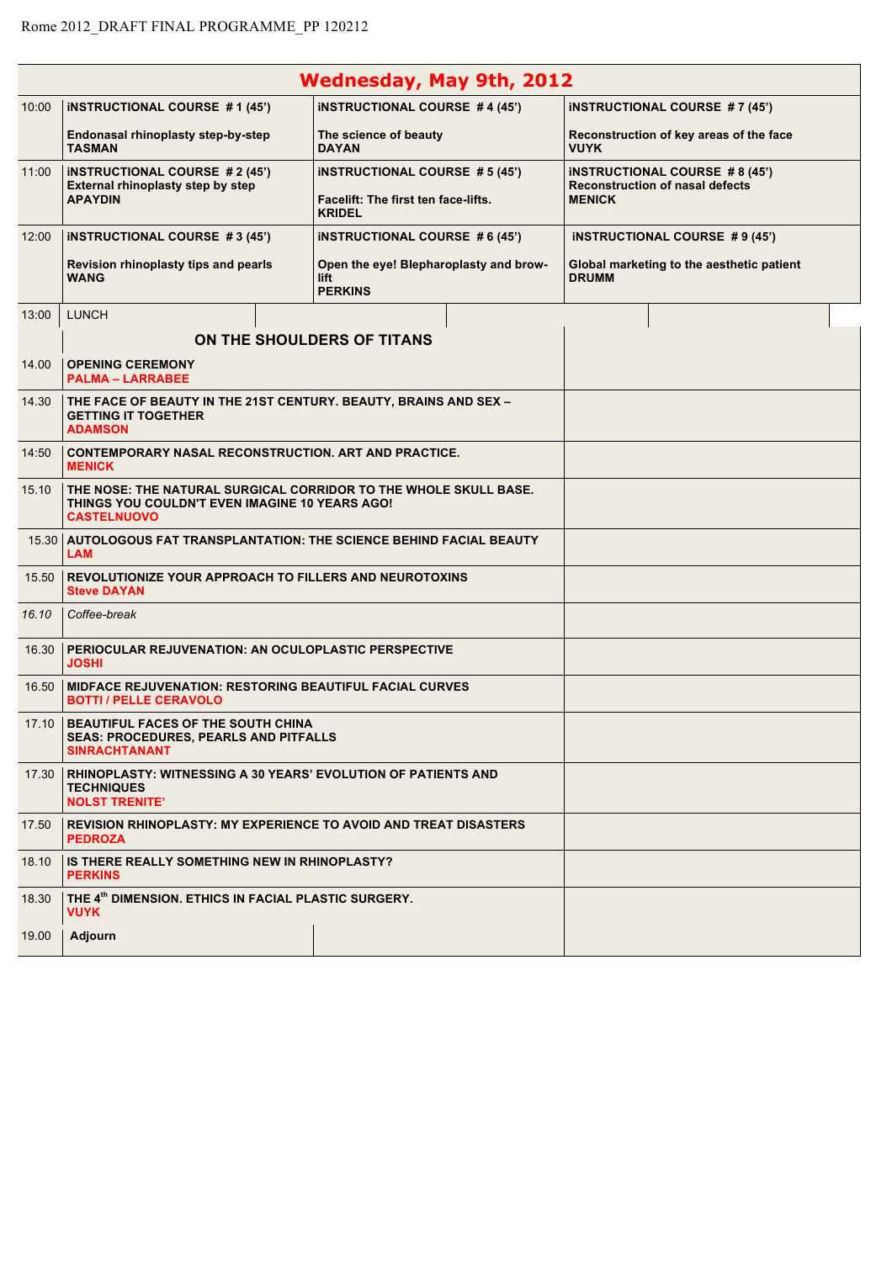|       |                                                                                                                                          | <b>Wednesday, May 9th, 2012</b>                                  |  |                                                                                |  |
|-------|------------------------------------------------------------------------------------------------------------------------------------------|------------------------------------------------------------------|--|--------------------------------------------------------------------------------|--|
| 10:00 | <b>INSTRUCTIONAL COURSE #1(45')</b>                                                                                                      | <b>INSTRUCTIONAL COURSE #4 (45')</b>                             |  | <b>INSTRUCTIONAL COURSE #7 (45')</b>                                           |  |
|       | Endonasal rhinoplasty step-by-step<br><b>TASMAN</b>                                                                                      | The science of beauty<br><b>DAYAN</b>                            |  | Reconstruction of key areas of the face<br><b>VUYK</b>                         |  |
| 11:00 | <b>INSTRUCTIONAL COURSE #2 (45')</b><br>External rhinoplasty step by step                                                                | <b>INSTRUCTIONAL COURSE #5 (45')</b>                             |  | <b>INSTRUCTIONAL COURSE #8 (45')</b><br><b>Reconstruction of nasal defects</b> |  |
|       | <b>APAYDIN</b>                                                                                                                           | Facelift: The first ten face-lifts.<br><b>KRIDEL</b>             |  | <b>MENICK</b>                                                                  |  |
| 12:00 | <b>INSTRUCTIONAL COURSE #3 (45')</b>                                                                                                     | <b>INSTRUCTIONAL COURSE #6 (45')</b>                             |  | <b>INSTRUCTIONAL COURSE #9 (45')</b>                                           |  |
|       | Revision rhinoplasty tips and pearls<br><b>WANG</b>                                                                                      | Open the eye! Blepharoplasty and brow-<br>lift<br><b>PERKINS</b> |  | Global marketing to the aesthetic patient<br><b>DRUMM</b>                      |  |
| 13:00 | <b>LUNCH</b>                                                                                                                             |                                                                  |  |                                                                                |  |
|       |                                                                                                                                          | ON THE SHOULDERS OF TITANS                                       |  |                                                                                |  |
| 14.00 | <b>OPENING CEREMONY</b><br><b>PALMA - LARRABEE</b>                                                                                       |                                                                  |  |                                                                                |  |
| 14.30 | THE FACE OF BEAUTY IN THE 21ST CENTURY. BEAUTY, BRAINS AND SEX –<br><b>GETTING IT TOGETHER</b><br><b>ADAMSON</b>                         |                                                                  |  |                                                                                |  |
| 14:50 | <b>CONTEMPORARY NASAL RECONSTRUCTION. ART AND PRACTICE.</b><br><b>MENICK</b>                                                             |                                                                  |  |                                                                                |  |
| 15.10 | THE NOSE: THE NATURAL SURGICAL CORRIDOR TO THE WHOLE SKULL BASE.<br>THINGS YOU COULDN'T EVEN IMAGINE 10 YEARS AGO!<br><b>CASTELNUOVO</b> |                                                                  |  |                                                                                |  |
|       | 15.30 AUTOLOGOUS FAT TRANSPLANTATION: THE SCIENCE BEHIND FACIAL BEAUTY<br><b>LAM</b>                                                     |                                                                  |  |                                                                                |  |
| 15.50 | <b>REVOLUTIONIZE YOUR APPROACH TO FILLERS AND NEUROTOXINS</b><br><b>Steve DAYAN</b>                                                      |                                                                  |  |                                                                                |  |
| 16.10 | Coffee-break                                                                                                                             |                                                                  |  |                                                                                |  |
| 16.30 | <b>PERIOCULAR REJUVENATION: AN OCULOPLASTIC PERSPECTIVE</b><br><b>JOSHI</b>                                                              |                                                                  |  |                                                                                |  |
| 16.50 | <b>MIDFACE REJUVENATION: RESTORING BEAUTIFUL FACIAL CURVES</b><br><b>BOTTI / PELLE CERAVOLO</b>                                          |                                                                  |  |                                                                                |  |
|       | 17.10   BEAUTIFUL FACES OF THE SOUTH CHINA<br><b>SEAS: PROCEDURES, PEARLS AND PITFALLS</b><br><b>SINRACHTANANT</b>                       |                                                                  |  |                                                                                |  |
| 17.30 | <b>RHINOPLASTY: WITNESSING A 30 YEARS' EVOLUTION OF PATIENTS AND</b><br><b>TECHNIQUES</b><br><b>NOLST TRENITE'</b>                       |                                                                  |  |                                                                                |  |
| 17.50 | <b>REVISION RHINOPLASTY: MY EXPERIENCE TO AVOID AND TREAT DISASTERS</b><br><b>PEDROZA</b>                                                |                                                                  |  |                                                                                |  |
| 18.10 | IS THERE REALLY SOMETHING NEW IN RHINOPLASTY?<br><b>PERKINS</b>                                                                          |                                                                  |  |                                                                                |  |
| 18.30 | THE 4th DIMENSION. ETHICS IN FACIAL PLASTIC SURGERY.<br>VUYK                                                                             |                                                                  |  |                                                                                |  |
| 19.00 | Adjourn                                                                                                                                  |                                                                  |  |                                                                                |  |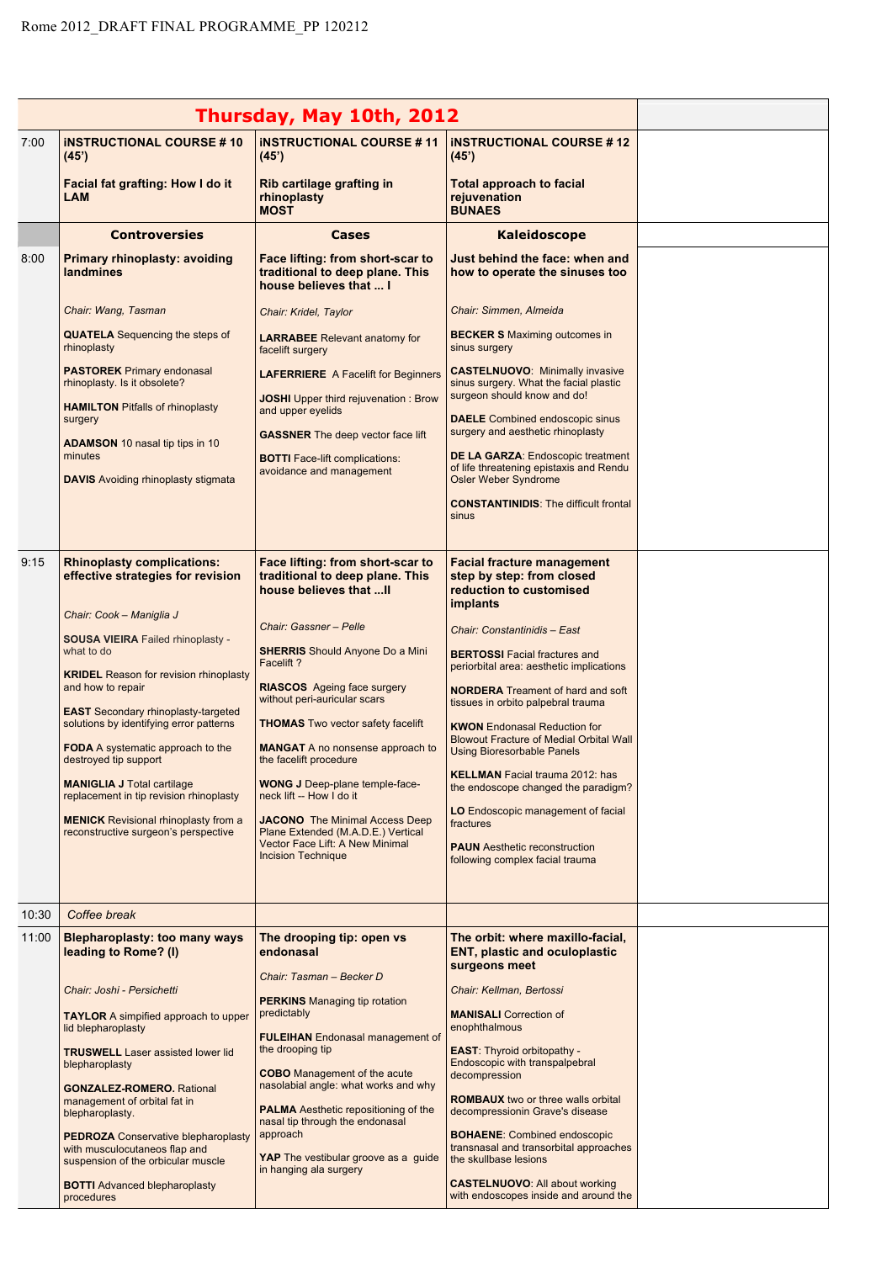|       |                                                                                                                         | Thursday, May 10th, 2012                                                                                             |                                                                                                                                                                                                |  |
|-------|-------------------------------------------------------------------------------------------------------------------------|----------------------------------------------------------------------------------------------------------------------|------------------------------------------------------------------------------------------------------------------------------------------------------------------------------------------------|--|
| 7:00  | <b>INSTRUCTIONAL COURSE #10</b>                                                                                         | <b>INSTRUCTIONAL COURSE #11</b>                                                                                      | <b>INSTRUCTIONAL COURSE #12</b>                                                                                                                                                                |  |
|       | (45)<br>Facial fat grafting: How I do it<br><b>LAM</b>                                                                  | (45)<br>Rib cartilage grafting in<br>rhinoplasty<br><b>MOST</b>                                                      | (45)<br><b>Total approach to facial</b><br>rejuvenation<br><b>BUNAES</b>                                                                                                                       |  |
|       | <b>Controversies</b>                                                                                                    | Cases                                                                                                                | <b>Kaleidoscope</b>                                                                                                                                                                            |  |
| 8:00  | <b>Primary rhinoplasty: avoiding</b><br>landmines                                                                       | Face lifting: from short-scar to<br>traditional to deep plane. This<br>house believes that  I                        | Just behind the face: when and<br>how to operate the sinuses too                                                                                                                               |  |
|       | Chair: Wang, Tasman                                                                                                     | Chair: Kridel, Taylor                                                                                                | Chair: Simmen, Almeida                                                                                                                                                                         |  |
|       | <b>QUATELA</b> Sequencing the steps of<br>rhinoplasty                                                                   | <b>LARRABEE</b> Relevant anatomy for<br>facelift surgery                                                             | <b>BECKER S</b> Maximing outcomes in<br>sinus surgery                                                                                                                                          |  |
|       | <b>PASTOREK</b> Primary endonasal<br>rhinoplasty. Is it obsolete?<br><b>HAMILTON</b> Pitfalls of rhinoplasty<br>surgery | <b>LAFERRIERE</b> A Facelift for Beginners<br><b>JOSHI</b> Upper third rejuvenation: Brow<br>and upper eyelids       | <b>CASTELNUOVO: Minimally invasive</b><br>sinus surgery. What the facial plastic<br>surgeon should know and do!<br><b>DAELE</b> Combined endoscopic sinus<br>surgery and aesthetic rhinoplasty |  |
|       | <b>ADAMSON</b> 10 nasal tip tips in 10<br>minutes<br><b>DAVIS</b> Avoiding rhinoplasty stigmata                         | <b>GASSNER</b> The deep vector face lift<br><b>BOTTI</b> Face-lift complications:<br>avoidance and management        | <b>DE LA GARZA: Endoscopic treatment</b><br>of life threatening epistaxis and Rendu<br><b>Osler Weber Syndrome</b>                                                                             |  |
|       |                                                                                                                         |                                                                                                                      | <b>CONSTANTINIDIS: The difficult frontal</b><br>sinus                                                                                                                                          |  |
| 9:15  | <b>Rhinoplasty complications:</b><br>effective strategies for revision                                                  | Face lifting: from short-scar to<br>traditional to deep plane. This<br>house believes that  II                       | <b>Facial fracture management</b><br>step by step: from closed<br>reduction to customised                                                                                                      |  |
|       | Chair: Cook - Maniglia J                                                                                                | Chair: Gassner - Pelle                                                                                               | <i>implants</i>                                                                                                                                                                                |  |
|       | <b>SOUSA VIEIRA Failed rhinoplasty -</b><br>what to do                                                                  | <b>SHERRIS</b> Should Anyone Do a Mini                                                                               | Chair: Constantinidis - East<br><b>BERTOSSI</b> Facial fractures and                                                                                                                           |  |
|       | <b>KRIDEL</b> Reason for revision rhinoplasty<br>and how to repair                                                      | Facelift?<br><b>RIASCOS</b> Ageing face surgery                                                                      | periorbital area: aesthetic implications<br><b>NORDERA</b> Treament of hard and soft                                                                                                           |  |
|       | <b>EAST</b> Secondary rhinoplasty-targeted<br>solutions by identifying error patterns                                   | without peri-auricular scars                                                                                         | tissues in orbito palpebral trauma                                                                                                                                                             |  |
|       | <b>FODA</b> A systematic approach to the<br>destroyed tip support                                                       | <b>THOMAS</b> Two vector safety facelift<br><b>MANGAT</b> A no nonsense approach to<br>the facelift procedure        | <b>KWON</b> Endonasal Reduction for<br><b>Blowout Fracture of Medial Orbital Wall</b><br><b>Using Bioresorbable Panels</b>                                                                     |  |
|       | <b>MANIGLIA J Total cartilage</b><br>replacement in tip revision rhinoplasty                                            | <b>WONG J</b> Deep-plane temple-face-<br>neck lift -- How I do it                                                    | <b>KELLMAN</b> Facial trauma 2012: has<br>the endoscope changed the paradigm?                                                                                                                  |  |
|       | <b>MENICK</b> Revisional rhinoplasty from a<br>reconstructive surgeon's perspective                                     | JACONO The Minimal Access Deep<br>Plane Extended (M.A.D.E.) Vertical<br>Vector Face Lift: A New Minimal              | LO Endoscopic management of facial<br>fractures                                                                                                                                                |  |
|       |                                                                                                                         | <b>Incision Technique</b>                                                                                            | <b>PAUN</b> Aesthetic reconstruction<br>following complex facial trauma                                                                                                                        |  |
| 10:30 | Coffee break                                                                                                            |                                                                                                                      |                                                                                                                                                                                                |  |
| 11:00 | <b>Blepharoplasty: too many ways</b><br>leading to Rome? (I)                                                            | The drooping tip: open vs<br>endonasal                                                                               | The orbit: where maxillo-facial,<br><b>ENT, plastic and oculoplastic</b><br>surgeons meet                                                                                                      |  |
|       | Chair: Joshi - Persichetti                                                                                              | Chair: Tasman - Becker D                                                                                             | Chair: Kellman, Bertossi                                                                                                                                                                       |  |
|       | <b>TAYLOR</b> A simpified approach to upper                                                                             | <b>PERKINS</b> Managing tip rotation<br>predictably                                                                  | <b>MANISALI</b> Correction of                                                                                                                                                                  |  |
|       | lid blepharoplasty<br><b>TRUSWELL</b> Laser assisted lower lid<br>blepharoplasty                                        | <b>FULEIHAN</b> Endonasal management of<br>the drooping tip<br><b>COBO</b> Management of the acute                   | enophthalmous<br><b>EAST:</b> Thyroid orbitopathy -<br>Endoscopic with transpalpebral                                                                                                          |  |
|       | <b>GONZALEZ-ROMERO.</b> Rational<br>management of orbital fat in<br>blepharoplasty.                                     | nasolabial angle: what works and why<br><b>PALMA</b> Aesthetic repositioning of the                                  | decompression<br><b>ROMBAUX</b> two or three walls orbital<br>decompressionin Grave's disease                                                                                                  |  |
|       | <b>PEDROZA</b> Conservative blepharoplasty<br>with musculocutaneos flap and<br>suspension of the orbicular muscle       | nasal tip through the endonasal<br>approach<br><b>YAP</b> The vestibular groove as a guide<br>in hanging ala surgery | <b>BOHAENE:</b> Combined endoscopic<br>transnasal and transorbital approaches<br>the skullbase lesions                                                                                         |  |
|       | <b>BOTTI</b> Advanced blepharoplasty<br>procedures                                                                      |                                                                                                                      | <b>CASTELNUOVO: All about working</b><br>with endoscopes inside and around the                                                                                                                 |  |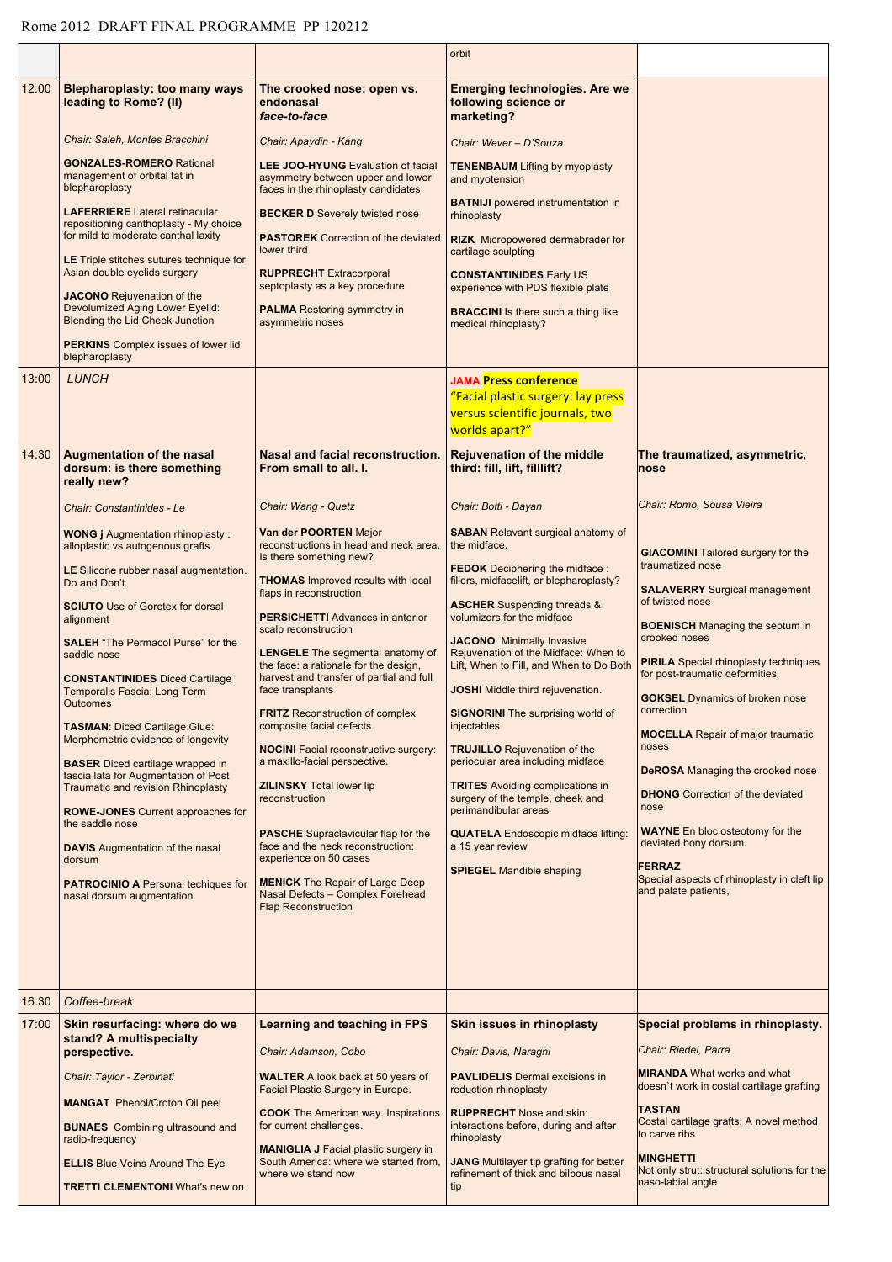|       |                                                                                                                              |                                                                                                                              | orbit                                                                                                                   |                                                                                       |
|-------|------------------------------------------------------------------------------------------------------------------------------|------------------------------------------------------------------------------------------------------------------------------|-------------------------------------------------------------------------------------------------------------------------|---------------------------------------------------------------------------------------|
| 12:00 | <b>Blepharoplasty: too many ways</b><br>leading to Rome? (II)                                                                | The crooked nose: open vs.<br>endonasal<br>face-to-face                                                                      | <b>Emerging technologies. Are we</b><br>following science or<br>marketing?                                              |                                                                                       |
|       | Chair: Saleh, Montes Bracchini                                                                                               | Chair: Apaydin - Kang                                                                                                        | Chair: Wever - D'Souza                                                                                                  |                                                                                       |
|       | <b>GONZALES-ROMERO Rational</b><br>management of orbital fat in<br>blepharoplasty                                            | <b>LEE JOO-HYUNG</b> Evaluation of facial<br>asymmetry between upper and lower<br>faces in the rhinoplasty candidates        | <b>TENENBAUM Lifting by myoplasty</b><br>and myotension                                                                 |                                                                                       |
|       | <b>LAFERRIERE</b> Lateral retinacular<br>repositioning canthoplasty - My choice<br>for mild to moderate canthal laxity       | <b>BECKER D Severely twisted nose</b><br><b>PASTOREK</b> Correction of the deviated                                          | <b>BATNIJI</b> powered instrumentation in<br>rhinoplasty                                                                |                                                                                       |
|       | <b>LE</b> Triple stitches sutures technique for<br>Asian double eyelids surgery                                              | lower third<br><b>RUPPRECHT</b> Extracorporal                                                                                | <b>RIZK</b> Micropowered dermabrader for<br>cartilage sculpting<br><b>CONSTANTINIDES Early US</b>                       |                                                                                       |
|       | JACONO Rejuvenation of the<br>Devolumized Aging Lower Eyelid:<br><b>Blending the Lid Cheek Junction</b>                      | septoplasty as a key procedure<br><b>PALMA</b> Restoring symmetry in<br>asymmetric noses                                     | experience with PDS flexible plate<br><b>BRACCINI</b> Is there such a thing like<br>medical rhinoplasty?                |                                                                                       |
|       | <b>PERKINS</b> Complex issues of lower lid<br>blepharoplasty                                                                 |                                                                                                                              |                                                                                                                         |                                                                                       |
| 13:00 | <b>LUNCH</b>                                                                                                                 |                                                                                                                              | <b>JAMA Press conference</b><br>"Facial plastic surgery: lay press<br>versus scientific journals, two<br>worlds apart?" |                                                                                       |
| 14:30 | Augmentation of the nasal<br>dorsum: is there something<br>really new?                                                       | Nasal and facial reconstruction.<br>From small to all. I.                                                                    | <b>Rejuvenation of the middle</b><br>third: fill, lift, filllift?                                                       | The traumatized, asymmetric,<br>nose                                                  |
|       | Chair: Constantinides - Le                                                                                                   | Chair: Wang - Quetz                                                                                                          | Chair: Botti - Dayan                                                                                                    | Chair: Romo, Sousa Vieira                                                             |
|       | <b>WONG j</b> Augmentation rhinoplasty:<br>alloplastic vs autogenous grafts                                                  | Van der POORTEN Major<br>reconstructions in head and neck area.<br>Is there something new?                                   | <b>SABAN</b> Relavant surgical anatomy of<br>the midface.                                                               | <b>GIACOMINI</b> Tailored surgery for the                                             |
|       | LE Silicone rubber nasal augmentation.<br>Do and Don't.                                                                      | <b>THOMAS</b> Improved results with local                                                                                    | <b>FEDOK</b> Deciphering the midface:<br>fillers, midfacelift, or blepharoplasty?                                       | traumatized nose<br><b>SALAVERRY</b> Surgical management                              |
|       | <b>SCIUTO</b> Use of Goretex for dorsal<br>alignment                                                                         | flaps in reconstruction<br><b>PERSICHETTI Advances in anterior</b>                                                           | <b>ASCHER</b> Suspending threads &<br>volumizers for the midface                                                        | of twisted nose                                                                       |
|       | <b>SALEH</b> "The Permacol Purse" for the                                                                                    | scalp reconstruction                                                                                                         | <b>JACONO</b> Minimally Invasive                                                                                        | <b>BOENISCH</b> Managing the septum in<br>crooked noses                               |
|       | saddle nose<br><b>CONSTANTINIDES Diced Cartilage</b>                                                                         | <b>LENGELE</b> The segmental anatomy of<br>the face: a rationale for the design,<br>harvest and transfer of partial and full | Rejuvenation of the Midface: When to<br>Lift, When to Fill, and When to Do Both                                         | <b>PIRILA</b> Special rhinoplasty techniques<br>for post-traumatic deformities        |
|       | Temporalis Fascia: Long Term<br><b>Outcomes</b>                                                                              | face transplants<br><b>FRITZ</b> Reconstruction of complex                                                                   | <b>JOSHI</b> Middle third rejuvenation.<br><b>SIGNORINI</b> The surprising world of                                     | <b>GOKSEL</b> Dynamics of broken nose<br><b>Correction Correction</b>                 |
|       | <b>TASMAN: Diced Cartilage Glue:</b><br>Morphometric evidence of longevity                                                   | composite facial defects<br><b>NOCINI</b> Facial reconstructive surgery:                                                     | injectables<br><b>TRUJILLO</b> Rejuvenation of the                                                                      | <b>MOCELLA</b> Repair of major traumatic<br>noses                                     |
|       | <b>BASER</b> Diced cartilage wrapped in<br>fascia lata for Augmentation of Post<br><b>Traumatic and revision Rhinoplasty</b> | a maxillo-facial perspective.<br><b>ZILINSKY Total lower lip</b>                                                             | periocular area including midface<br><b>TRITES</b> Avoiding complications in                                            | <b>DeROSA</b> Managing the crooked nose                                               |
|       | <b>ROWE-JONES</b> Current approaches for<br>the saddle nose                                                                  | reconstruction                                                                                                               | surgery of the temple, cheek and<br>perimandibular areas                                                                | <b>DHONG</b> Correction of the deviated<br>nose                                       |
|       | <b>DAVIS</b> Augmentation of the nasal<br>dorsum                                                                             | <b>PASCHE</b> Supraclavicular flap for the<br>face and the neck reconstruction:<br>experience on 50 cases                    | <b>QUATELA</b> Endoscopic midface lifting:<br>a 15 year review                                                          | <b>WAYNE</b> En bloc osteotomy for the<br>deviated bony dorsum.                       |
|       | <b>PATROCINIO A Personal techiques for</b><br>nasal dorsum augmentation.                                                     | <b>MENICK</b> The Repair of Large Deep<br>Nasal Defects - Complex Forehead<br><b>Flap Reconstruction</b>                     | <b>SPIEGEL Mandible shaping</b>                                                                                         | <b>FERRAZ</b><br>Special aspects of rhinoplasty in cleft lip<br>and palate patients,  |
|       |                                                                                                                              |                                                                                                                              |                                                                                                                         |                                                                                       |
| 16:30 | Coffee-break                                                                                                                 |                                                                                                                              |                                                                                                                         |                                                                                       |
| 17:00 | Skin resurfacing: where do we<br>stand? A multispecialty                                                                     | <b>Learning and teaching in FPS</b>                                                                                          | Skin issues in rhinoplasty                                                                                              | Special problems in rhinoplasty.                                                      |
|       | perspective.                                                                                                                 | Chair: Adamson, Cobo                                                                                                         | Chair: Davis, Naraghi                                                                                                   | Chair: Riedel, Parra<br><b>MIRANDA</b> What works and what                            |
|       | Chair: Taylor - Zerbinati<br><b>MANGAT</b> Phenol/Croton Oil peel                                                            | <b>WALTER</b> A look back at 50 years of<br>Facial Plastic Surgery in Europe.                                                | <b>PAVLIDELIS</b> Dermal excisions in<br>reduction rhinoplasty                                                          | doesn't work in costal cartilage grafting                                             |
|       | <b>BUNAES</b> Combining ultrasound and<br>radio-frequency                                                                    | <b>COOK</b> The American way. Inspirations<br>for current challenges.                                                        | <b>RUPPRECHT</b> Nose and skin:<br>interactions before, during and after<br>rhinoplasty                                 | <b>TASTAN</b><br>Costal cartilage grafts: A novel method<br>to carve ribs             |
|       | <b>ELLIS</b> Blue Veins Around The Eye<br><b>TRETTI CLEMENTONI What's new on</b>                                             | <b>MANIGLIA J Facial plastic surgery in</b><br>South America: where we started from,<br>where we stand now                   | <b>JANG</b> Multilayer tip grafting for better<br>refinement of thick and bilbous nasal<br>tip                          | <b>MINGHETTI</b><br>Not only strut: structural solutions for the<br>naso-labial angle |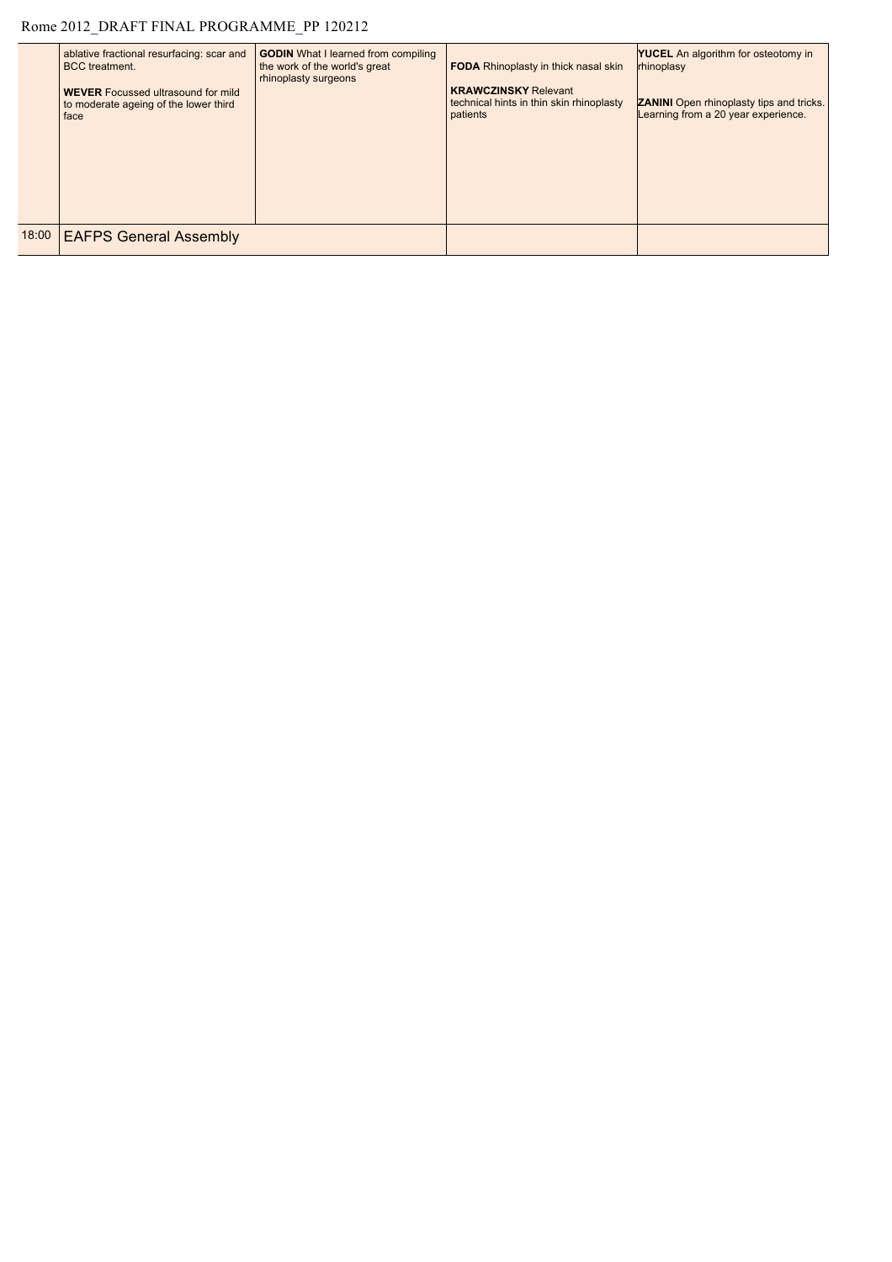## Rome 2012\_DRAFT FINAL PROGRAMME\_PP 120212

| ablative fractional resurfacing: scar and<br><b>BCC</b> treatment.<br><b>WEVER</b> Focussed ultrasound for mild<br>to moderate ageing of the lower third<br>face | <b>GODIN</b> What I learned from compiling<br>the work of the world's great<br>rhinoplasty surgeons | <b>FODA</b> Rhinoplasty in thick nasal skin<br><b>KRAWCZINSKY Relevant</b><br>technical hints in thin skin rhinoplasty<br>patients | <b>YUCEL</b> An algorithm for osteotomy in<br>rhinoplasy<br><b>ZANINI</b> Open rhinoplasty tips and tricks.<br>Learning from a 20 year experience. |
|------------------------------------------------------------------------------------------------------------------------------------------------------------------|-----------------------------------------------------------------------------------------------------|------------------------------------------------------------------------------------------------------------------------------------|----------------------------------------------------------------------------------------------------------------------------------------------------|
| 18:00   EAFPS General Assembly                                                                                                                                   |                                                                                                     |                                                                                                                                    |                                                                                                                                                    |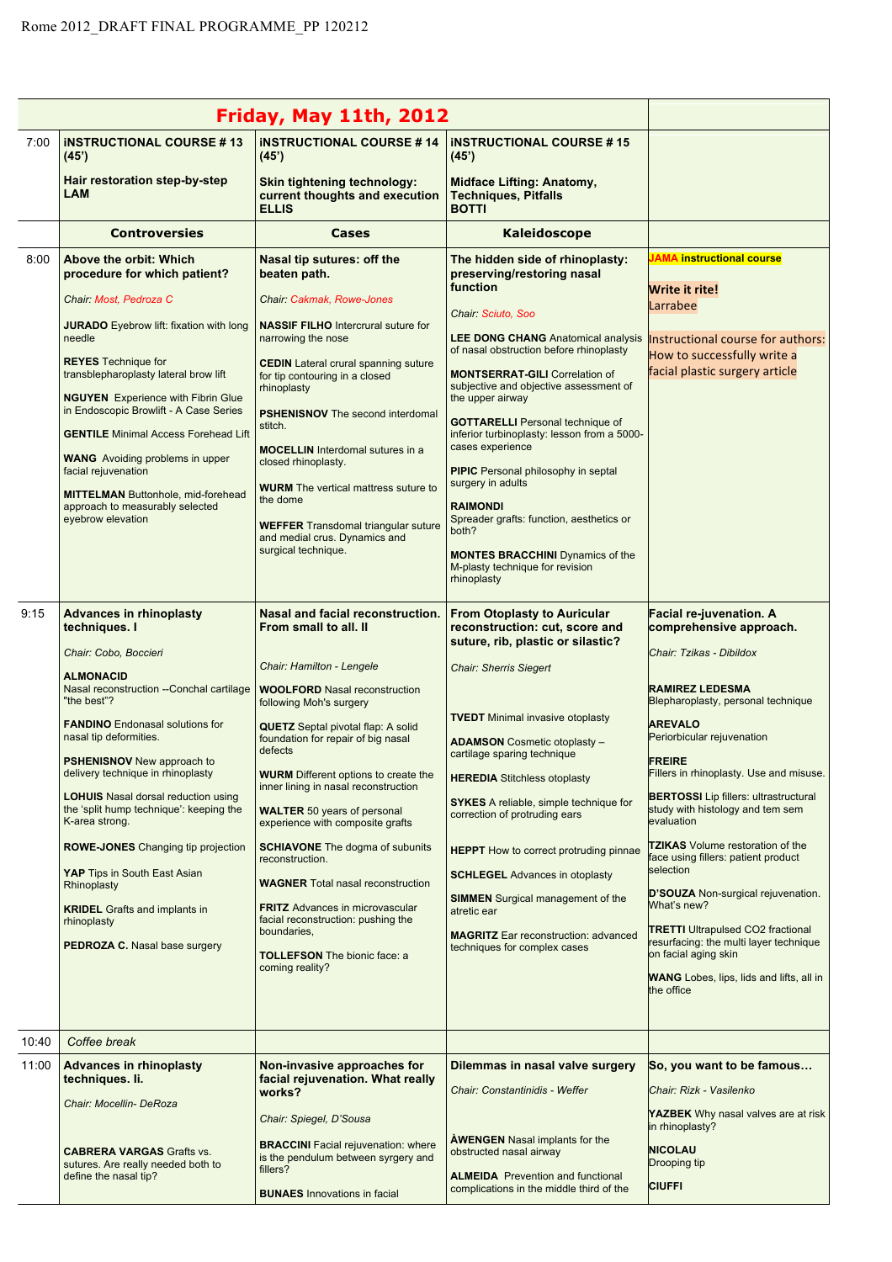|       |                                                                                                                                                                                                                                                                                                                                                                                                                                                                                                                                                                                                             | Friday, May 11th, 2012                                                                                                                                                                                                                                                                                                                                                                                                                                                                                                                                                                                                                                                                     |                                                                                                                                                                                                                                                                                                                                                                                                                                                                                                                                                                                                                          |                                                                                                                                                                                                                                                                                                                                                                                                                                                                                                                                                                                                                                                                                                        |
|-------|-------------------------------------------------------------------------------------------------------------------------------------------------------------------------------------------------------------------------------------------------------------------------------------------------------------------------------------------------------------------------------------------------------------------------------------------------------------------------------------------------------------------------------------------------------------------------------------------------------------|--------------------------------------------------------------------------------------------------------------------------------------------------------------------------------------------------------------------------------------------------------------------------------------------------------------------------------------------------------------------------------------------------------------------------------------------------------------------------------------------------------------------------------------------------------------------------------------------------------------------------------------------------------------------------------------------|--------------------------------------------------------------------------------------------------------------------------------------------------------------------------------------------------------------------------------------------------------------------------------------------------------------------------------------------------------------------------------------------------------------------------------------------------------------------------------------------------------------------------------------------------------------------------------------------------------------------------|--------------------------------------------------------------------------------------------------------------------------------------------------------------------------------------------------------------------------------------------------------------------------------------------------------------------------------------------------------------------------------------------------------------------------------------------------------------------------------------------------------------------------------------------------------------------------------------------------------------------------------------------------------------------------------------------------------|
| 7:00  | <b>INSTRUCTIONAL COURSE #13</b><br>(45')                                                                                                                                                                                                                                                                                                                                                                                                                                                                                                                                                                    | <b>INSTRUCTIONAL COURSE #14</b><br>(45)                                                                                                                                                                                                                                                                                                                                                                                                                                                                                                                                                                                                                                                    | <b>INSTRUCTIONAL COURSE #15</b><br>(45)                                                                                                                                                                                                                                                                                                                                                                                                                                                                                                                                                                                  |                                                                                                                                                                                                                                                                                                                                                                                                                                                                                                                                                                                                                                                                                                        |
|       | Hair restoration step-by-step<br><b>LAM</b>                                                                                                                                                                                                                                                                                                                                                                                                                                                                                                                                                                 | Skin tightening technology:<br>current thoughts and execution<br><b>ELLIS</b>                                                                                                                                                                                                                                                                                                                                                                                                                                                                                                                                                                                                              | <b>Midface Lifting: Anatomy,</b><br><b>Techniques, Pitfalls</b><br><b>BOTTI</b>                                                                                                                                                                                                                                                                                                                                                                                                                                                                                                                                          |                                                                                                                                                                                                                                                                                                                                                                                                                                                                                                                                                                                                                                                                                                        |
|       | <b>Controversies</b>                                                                                                                                                                                                                                                                                                                                                                                                                                                                                                                                                                                        | <b>Cases</b>                                                                                                                                                                                                                                                                                                                                                                                                                                                                                                                                                                                                                                                                               | Kaleidoscope                                                                                                                                                                                                                                                                                                                                                                                                                                                                                                                                                                                                             |                                                                                                                                                                                                                                                                                                                                                                                                                                                                                                                                                                                                                                                                                                        |
| 8:00  | Above the orbit: Which<br>procedure for which patient?<br>Chair: Most. Pedroza C<br><b>JURADO</b> Eyebrow lift: fixation with long<br>needle<br><b>REYES</b> Technique for<br>transblepharoplasty lateral brow lift<br><b>NGUYEN</b> Experience with Fibrin Glue<br>in Endoscopic Browlift - A Case Series<br><b>GENTILE</b> Minimal Access Forehead Lift                                                                                                                                                                                                                                                   | Nasal tip sutures: off the<br>beaten path.<br>Chair: Cakmak, Rowe-Jones<br><b>NASSIF FILHO Intercrural suture for</b><br>narrowing the nose<br><b>CEDIN</b> Lateral crural spanning suture<br>for tip contouring in a closed<br>rhinoplasty<br><b>PSHENISNOV</b> The second interdomal<br>stitch.<br><b>MOCELLIN</b> Interdomal sutures in a                                                                                                                                                                                                                                                                                                                                               | The hidden side of rhinoplasty:<br>preserving/restoring nasal<br>function<br>Chair: Sciuto, Soo<br><b>LEE DONG CHANG Anatomical analysis</b><br>of nasal obstruction before rhinoplasty<br><b>MONTSERRAT-GILI</b> Correlation of<br>subjective and objective assessment of<br>the upper airway<br><b>GOTTARELLI</b> Personal technique of<br>inferior turbinoplasty: lesson from a 5000-<br>cases experience                                                                                                                                                                                                             | JAMA instructional course<br>Write it rite!<br>Larrabee<br>Instructional course for authors:<br>How to successfully write a<br>facial plastic surgery article                                                                                                                                                                                                                                                                                                                                                                                                                                                                                                                                          |
|       | <b>WANG</b> Avoiding problems in upper<br>facial rejuvenation<br><b>MITTELMAN Buttonhole, mid-forehead</b><br>approach to measurably selected<br>eyebrow elevation                                                                                                                                                                                                                                                                                                                                                                                                                                          | closed rhinoplasty.<br><b>WURM</b> The vertical mattress suture to<br>the dome<br><b>WEFFER</b> Transdomal triangular suture<br>and medial crus. Dynamics and<br>surgical technique.                                                                                                                                                                                                                                                                                                                                                                                                                                                                                                       | <b>PIPIC</b> Personal philosophy in septal<br>surgery in adults<br><b>RAIMONDI</b><br>Spreader grafts: function, aesthetics or<br>both?<br><b>MONTES BRACCHINI</b> Dynamics of the<br>M-plasty technique for revision<br>rhinoplasty                                                                                                                                                                                                                                                                                                                                                                                     |                                                                                                                                                                                                                                                                                                                                                                                                                                                                                                                                                                                                                                                                                                        |
| 9:15  | <b>Advances in rhinoplasty</b><br>techniques. I<br>Chair: Cobo, Boccieri<br><b>ALMONACID</b><br>Nasal reconstruction --Conchal cartilage<br>"the best"?<br><b>FANDINO</b> Endonasal solutions for<br>nasal tip deformities.<br><b>PSHENISNOV</b> New approach to<br>delivery technique in rhinoplasty<br><b>LOHUIS</b> Nasal dorsal reduction using<br>the 'split hump technique': keeping the<br>K-area strong.<br><b>ROWE-JONES</b> Changing tip projection<br>YAP Tips in South East Asian<br>Rhinoplasty<br><b>KRIDEL</b> Grafts and implants in<br>rhinoplasty<br><b>PEDROZA C.</b> Nasal base surgery | Nasal and facial reconstruction.<br>From small to all. II<br>Chair: Hamilton - Lengele<br><b>WOOLFORD Nasal reconstruction</b><br>following Moh's surgery<br><b>QUETZ</b> Septal pivotal flap: A solid<br>foundation for repair of big nasal<br>defects<br><b>WURM</b> Different options to create the<br>inner lining in nasal reconstruction<br><b>WALTER</b> 50 years of personal<br>experience with composite grafts<br><b>SCHIAVONE</b> The dogma of subunits<br>reconstruction.<br><b>WAGNER</b> Total nasal reconstruction<br><b>FRITZ</b> Advances in microvascular<br>facial reconstruction: pushing the<br>boundaries,<br><b>TOLLEFSON</b> The bionic face: a<br>coming reality? | <b>From Otoplasty to Auricular</b><br>reconstruction: cut, score and<br>suture, rib, plastic or silastic?<br><b>Chair: Sherris Siegert</b><br><b>TVEDT</b> Minimal invasive otoplasty<br><b>ADAMSON</b> Cosmetic otoplasty -<br>cartilage sparing technique<br><b>HEREDIA</b> Stitchless otoplasty<br><b>SYKES</b> A reliable, simple technique for<br>correction of protruding ears<br><b>HEPPT</b> How to correct protruding pinnae<br><b>SCHLEGEL Advances in otoplasty</b><br><b>SIMMEN</b> Surgical management of the<br>atretic ear<br><b>MAGRITZ</b> Ear reconstruction: advanced<br>techniques for complex cases | <b>Facial re-juvenation. A</b><br>comprehensive approach.<br>Chair: Tzikas - Dibildox<br><b>RAMIREZ LEDESMA</b><br>Blepharoplasty, personal technique<br><b>AREVALO</b><br>Periorbicular rejuvenation<br><b>FREIRE</b><br>Fillers in rhinoplasty. Use and misuse.<br><b>BERTOSSI</b> Lip fillers: ultrastructural<br>study with histology and tem sem<br>evaluation<br><b>TZIKAS</b> Volume restoration of the<br>face using fillers: patient product<br>selection<br>D'SOUZA Non-surgical rejuvenation.<br>What's new?<br><b>TRETTI Ultrapulsed CO2 fractional</b><br>resurfacing: the multi layer technique<br>on facial aging skin<br><b>WANG</b> Lobes, lips, lids and lifts, all in<br>the office |
| 10:40 | Coffee break                                                                                                                                                                                                                                                                                                                                                                                                                                                                                                                                                                                                |                                                                                                                                                                                                                                                                                                                                                                                                                                                                                                                                                                                                                                                                                            |                                                                                                                                                                                                                                                                                                                                                                                                                                                                                                                                                                                                                          |                                                                                                                                                                                                                                                                                                                                                                                                                                                                                                                                                                                                                                                                                                        |
| 11:00 | <b>Advances in rhinoplasty</b><br>techniques. li.<br>Chair: Mocellin- DeRoza<br><b>CABRERA VARGAS Grafts vs.</b><br>sutures. Are really needed both to<br>define the nasal tip?                                                                                                                                                                                                                                                                                                                                                                                                                             | Non-invasive approaches for<br>facial rejuvenation. What really<br>works?<br>Chair: Spiegel, D'Sousa<br><b>BRACCINI</b> Facial rejuvenation: where<br>is the pendulum between syrgery and<br>fillers?                                                                                                                                                                                                                                                                                                                                                                                                                                                                                      | Dilemmas in nasal valve surgery<br>Chair: Constantinidis - Weffer<br><b>AWENGEN</b> Nasal implants for the<br>obstructed nasal airway<br><b>ALMEIDA</b> Prevention and functional                                                                                                                                                                                                                                                                                                                                                                                                                                        | So, you want to be famous<br>Chair: Rizk - Vasilenko<br>YAZBEK Why nasal valves are at risk<br>in rhinoplasty?<br><b>NICOLAU</b><br>Drooping tip                                                                                                                                                                                                                                                                                                                                                                                                                                                                                                                                                       |
|       |                                                                                                                                                                                                                                                                                                                                                                                                                                                                                                                                                                                                             | <b>BUNAES</b> Innovations in facial                                                                                                                                                                                                                                                                                                                                                                                                                                                                                                                                                                                                                                                        | complications in the middle third of the                                                                                                                                                                                                                                                                                                                                                                                                                                                                                                                                                                                 | <b>CIUFFI</b>                                                                                                                                                                                                                                                                                                                                                                                                                                                                                                                                                                                                                                                                                          |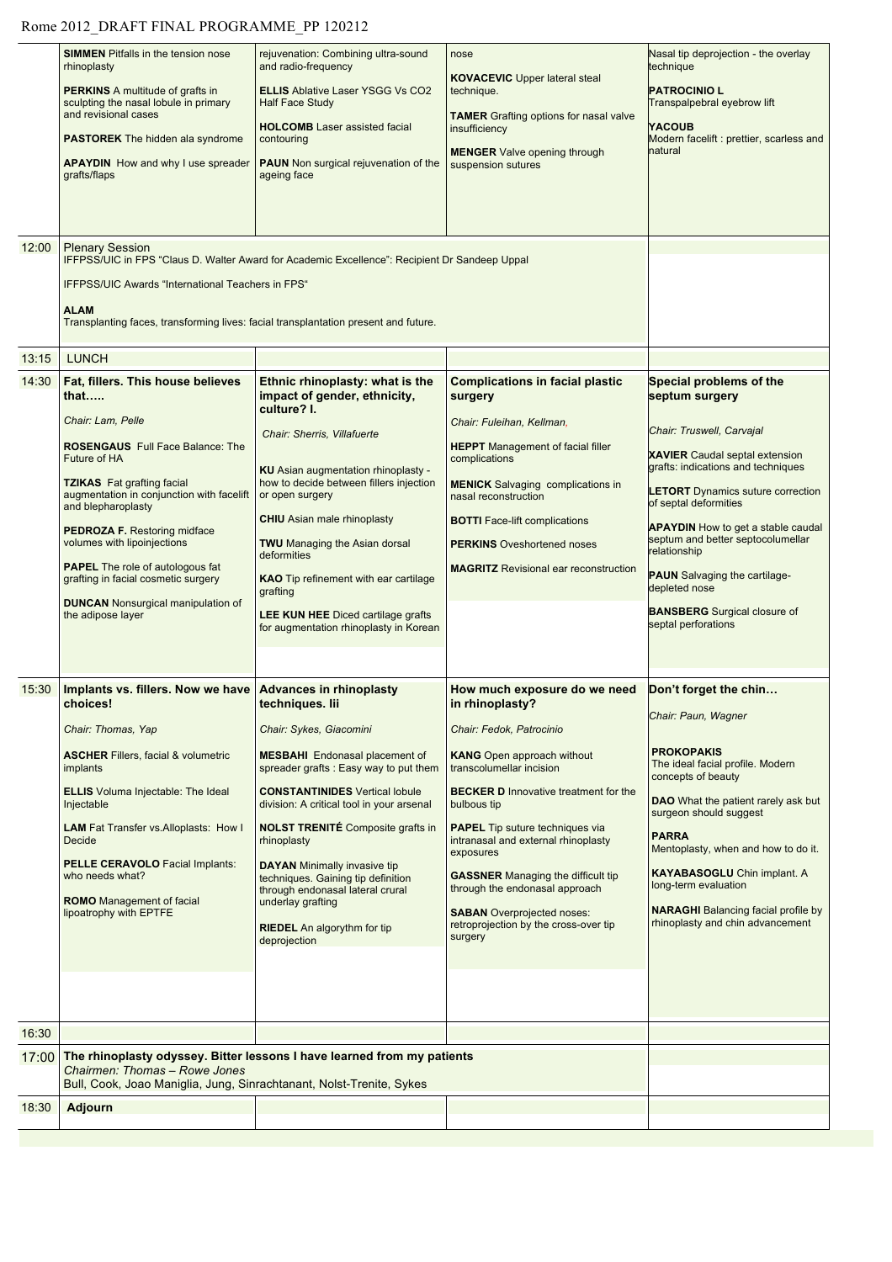## Rome 2012\_DRAFT FINAL PROGRAMME\_PP 120212

| Transplanting faces, transforming lives: facial transplantation present and future.<br><b>LUNCH</b><br>13:15<br>14:30<br>Fat, fillers. This house believes<br>Ethnic rhinoplasty: what is the<br><b>Complications in facial plastic</b><br>Special problems of the<br>impact of gender, ethnicity,<br>septum surgery<br>that<br>surgery<br>culture? I.<br>Chair: Lam, Pelle<br>Chair: Fuleihan, Kellman,<br>Chair: Truswell, Carvajal<br>Chair: Sherris, Villafuerte<br><b>ROSENGAUS</b> Full Face Balance: The<br><b>HEPPT</b> Management of facial filler<br><b>XAVIER</b> Caudal septal extension<br>Future of HA<br>complications<br>grafts: indications and techniques<br>KU Asian augmentation rhinoplasty -<br><b>TZIKAS</b> Fat grafting facial<br>how to decide between fillers injection<br><b>MENICK</b> Salvaging complications in<br><b>LETORT</b> Dynamics suture correction<br>augmentation in conjunction with facelift<br>or open surgery<br>nasal reconstruction<br>of septal deformities<br>and blepharoplasty<br><b>CHIU</b> Asian male rhinoplasty<br><b>BOTTI</b> Face-lift complications<br><b>APAYDIN</b> How to get a stable caudal<br><b>PEDROZA F. Restoring midface</b><br>septum and better septocolumellar<br>volumes with lipoinjections<br><b>TWU</b> Managing the Asian dorsal<br><b>PERKINS</b> Oveshortened noses<br>relationship<br>deformities<br><b>PAPEL</b> The role of autologous fat<br><b>MAGRITZ</b> Revisional ear reconstruction<br><b>PAUN</b> Salvaging the cartilage-<br>grafting in facial cosmetic surgery<br><b>KAO</b> Tip refinement with ear cartilage<br>depleted nose<br>grafting<br><b>DUNCAN</b> Nonsurgical manipulation of<br><b>BANSBERG</b> Surgical closure of<br>the adipose layer<br><b>LEE KUN HEE</b> Diced cartilage grafts<br>septal perforations<br>for augmentation rhinoplasty in Korean<br>15:30<br>Implants vs. fillers. Now we have<br><b>Advances in rhinoplasty</b><br>How much exposure do we need<br>Don't forget the chin<br>choices!<br>techniques. Iii<br>in rhinoplasty?<br>Chair: Paun, Wagner<br>Chair: Sykes, Giacomini<br>Chair: Thomas, Yap<br>Chair: Fedok, Patrocinio<br><b>PROKOPAKIS</b><br><b>ASCHER Fillers, facial &amp; volumetric</b><br><b>MESBAHI</b> Endonasal placement of<br><b>KANG</b> Open approach without<br>The ideal facial profile. Modern<br>spreader grafts: Easy way to put them<br>transcolumellar incision<br>implants<br>concepts of beauty<br><b>ELLIS</b> Voluma Injectable: The Ideal<br><b>CONSTANTINIDES</b> Vertical lobule<br><b>BECKER D</b> Innovative treatment for the<br><b>DAO</b> What the patient rarely ask but<br>Injectable<br>division: A critical tool in your arsenal<br>bulbous tip<br>surgeon should suggest<br><b>NOLST TRENITÉ</b> Composite grafts in<br><b>LAM</b> Fat Transfer vs. Alloplasts: How I<br><b>PAPEL</b> Tip suture techniques via<br><b>PARRA</b><br>Decide<br>rhinoplasty<br>intranasal and external rhinoplasty<br>Mentoplasty, when and how to do it.<br>exposures<br>PELLE CERAVOLO Facial Implants:<br><b>DAYAN</b> Minimally invasive tip<br><b>KAYABASOGLU Chin implant. A</b><br><b>GASSNER</b> Managing the difficult tip<br>who needs what?<br>techniques. Gaining tip definition<br>long-term evaluation<br>through the endonasal approach<br>through endonasal lateral crural<br><b>ROMO</b> Management of facial<br>underlay grafting<br><b>NARAGHI</b> Balancing facial profile by<br>lipoatrophy with EPTFE<br><b>SABAN</b> Overprojected noses:<br>rhinoplasty and chin advancement<br>retroprojection by the cross-over tip<br><b>RIEDEL</b> An algorythm for tip<br>surgery<br>deprojection | Nasal tip deprojection - the overlay<br>Transpalpebral eyebrow lift<br>Modern facelift : prettier, scarless and |
|-----------------------------------------------------------------------------------------------------------------------------------------------------------------------------------------------------------------------------------------------------------------------------------------------------------------------------------------------------------------------------------------------------------------------------------------------------------------------------------------------------------------------------------------------------------------------------------------------------------------------------------------------------------------------------------------------------------------------------------------------------------------------------------------------------------------------------------------------------------------------------------------------------------------------------------------------------------------------------------------------------------------------------------------------------------------------------------------------------------------------------------------------------------------------------------------------------------------------------------------------------------------------------------------------------------------------------------------------------------------------------------------------------------------------------------------------------------------------------------------------------------------------------------------------------------------------------------------------------------------------------------------------------------------------------------------------------------------------------------------------------------------------------------------------------------------------------------------------------------------------------------------------------------------------------------------------------------------------------------------------------------------------------------------------------------------------------------------------------------------------------------------------------------------------------------------------------------------------------------------------------------------------------------------------------------------------------------------------------------------------------------------------------------------------------------------------------------------------------------------------------------------------------------------------------------------------------------------------------------------------------------------------------------------------------------------------------------------------------------------------------------------------------------------------------------------------------------------------------------------------------------------------------------------------------------------------------------------------------------------------------------------------------------------------------------------------------------------------------------------------------------------------------------------------------------------------------------------------------------------------------------------------------------------------------------------------------------------------------------------------------------------------------------------------------------------------------------------------------------------------------------------------------------------------------------------------------------------------------------------------------------------------------------------------------|-----------------------------------------------------------------------------------------------------------------|
|                                                                                                                                                                                                                                                                                                                                                                                                                                                                                                                                                                                                                                                                                                                                                                                                                                                                                                                                                                                                                                                                                                                                                                                                                                                                                                                                                                                                                                                                                                                                                                                                                                                                                                                                                                                                                                                                                                                                                                                                                                                                                                                                                                                                                                                                                                                                                                                                                                                                                                                                                                                                                                                                                                                                                                                                                                                                                                                                                                                                                                                                                                                                                                                                                                                                                                                                                                                                                                                                                                                                                                                                                                                                             |                                                                                                                 |
|                                                                                                                                                                                                                                                                                                                                                                                                                                                                                                                                                                                                                                                                                                                                                                                                                                                                                                                                                                                                                                                                                                                                                                                                                                                                                                                                                                                                                                                                                                                                                                                                                                                                                                                                                                                                                                                                                                                                                                                                                                                                                                                                                                                                                                                                                                                                                                                                                                                                                                                                                                                                                                                                                                                                                                                                                                                                                                                                                                                                                                                                                                                                                                                                                                                                                                                                                                                                                                                                                                                                                                                                                                                                             |                                                                                                                 |
|                                                                                                                                                                                                                                                                                                                                                                                                                                                                                                                                                                                                                                                                                                                                                                                                                                                                                                                                                                                                                                                                                                                                                                                                                                                                                                                                                                                                                                                                                                                                                                                                                                                                                                                                                                                                                                                                                                                                                                                                                                                                                                                                                                                                                                                                                                                                                                                                                                                                                                                                                                                                                                                                                                                                                                                                                                                                                                                                                                                                                                                                                                                                                                                                                                                                                                                                                                                                                                                                                                                                                                                                                                                                             |                                                                                                                 |
|                                                                                                                                                                                                                                                                                                                                                                                                                                                                                                                                                                                                                                                                                                                                                                                                                                                                                                                                                                                                                                                                                                                                                                                                                                                                                                                                                                                                                                                                                                                                                                                                                                                                                                                                                                                                                                                                                                                                                                                                                                                                                                                                                                                                                                                                                                                                                                                                                                                                                                                                                                                                                                                                                                                                                                                                                                                                                                                                                                                                                                                                                                                                                                                                                                                                                                                                                                                                                                                                                                                                                                                                                                                                             |                                                                                                                 |
|                                                                                                                                                                                                                                                                                                                                                                                                                                                                                                                                                                                                                                                                                                                                                                                                                                                                                                                                                                                                                                                                                                                                                                                                                                                                                                                                                                                                                                                                                                                                                                                                                                                                                                                                                                                                                                                                                                                                                                                                                                                                                                                                                                                                                                                                                                                                                                                                                                                                                                                                                                                                                                                                                                                                                                                                                                                                                                                                                                                                                                                                                                                                                                                                                                                                                                                                                                                                                                                                                                                                                                                                                                                                             |                                                                                                                 |
| 16:30                                                                                                                                                                                                                                                                                                                                                                                                                                                                                                                                                                                                                                                                                                                                                                                                                                                                                                                                                                                                                                                                                                                                                                                                                                                                                                                                                                                                                                                                                                                                                                                                                                                                                                                                                                                                                                                                                                                                                                                                                                                                                                                                                                                                                                                                                                                                                                                                                                                                                                                                                                                                                                                                                                                                                                                                                                                                                                                                                                                                                                                                                                                                                                                                                                                                                                                                                                                                                                                                                                                                                                                                                                                                       |                                                                                                                 |
| The rhinoplasty odyssey. Bitter lessons I have learned from my patients<br>17:00<br>Chairmen: Thomas - Rowe Jones<br>Bull, Cook, Joao Maniglia, Jung, Sinrachtanant, Nolst-Trenite, Sykes                                                                                                                                                                                                                                                                                                                                                                                                                                                                                                                                                                                                                                                                                                                                                                                                                                                                                                                                                                                                                                                                                                                                                                                                                                                                                                                                                                                                                                                                                                                                                                                                                                                                                                                                                                                                                                                                                                                                                                                                                                                                                                                                                                                                                                                                                                                                                                                                                                                                                                                                                                                                                                                                                                                                                                                                                                                                                                                                                                                                                                                                                                                                                                                                                                                                                                                                                                                                                                                                                   |                                                                                                                 |
| 18:30<br><b>Adjourn</b>                                                                                                                                                                                                                                                                                                                                                                                                                                                                                                                                                                                                                                                                                                                                                                                                                                                                                                                                                                                                                                                                                                                                                                                                                                                                                                                                                                                                                                                                                                                                                                                                                                                                                                                                                                                                                                                                                                                                                                                                                                                                                                                                                                                                                                                                                                                                                                                                                                                                                                                                                                                                                                                                                                                                                                                                                                                                                                                                                                                                                                                                                                                                                                                                                                                                                                                                                                                                                                                                                                                                                                                                                                                     |                                                                                                                 |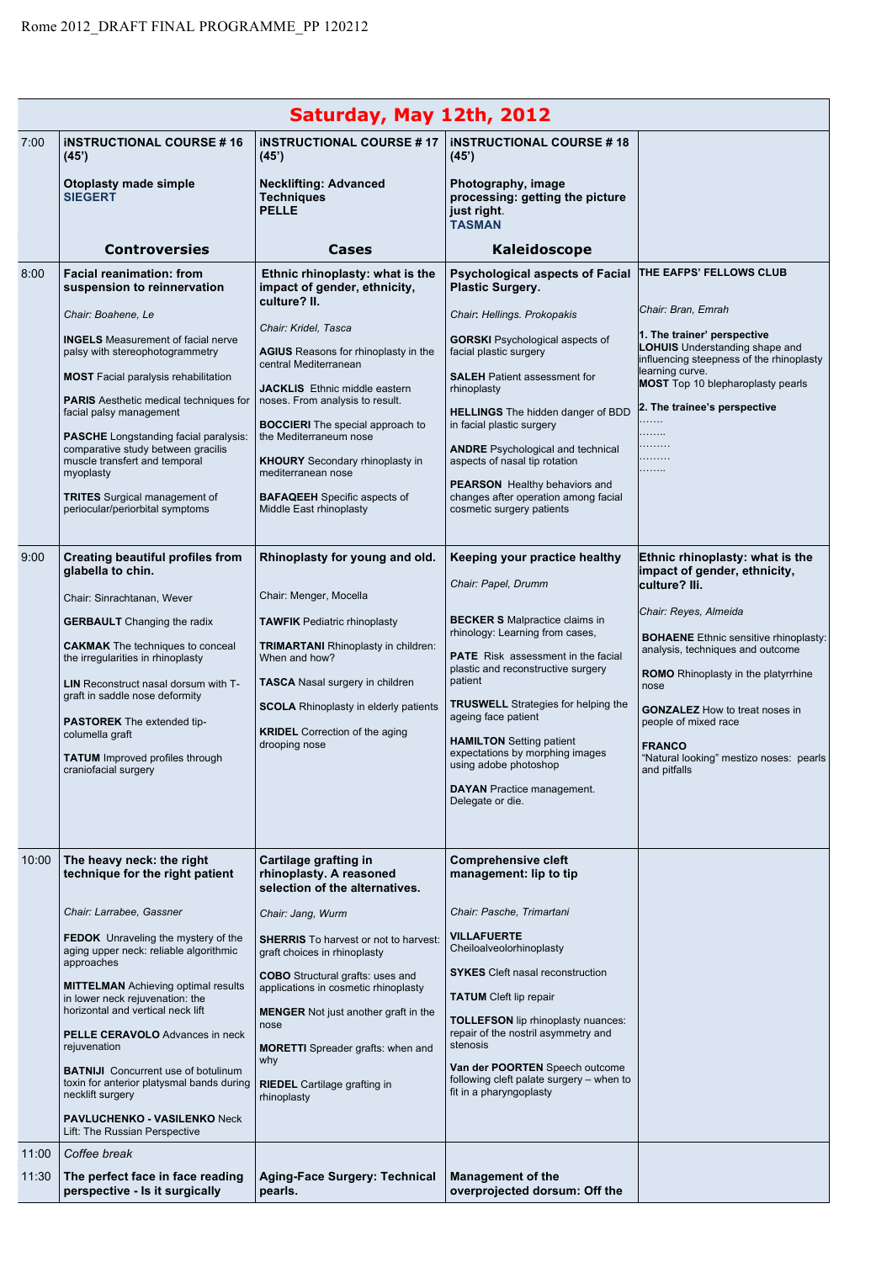| Saturday, May 12th, 2012 |                                                                                                    |                                                                                                 |                                                                                                           |                                                                                                                  |  |
|--------------------------|----------------------------------------------------------------------------------------------------|-------------------------------------------------------------------------------------------------|-----------------------------------------------------------------------------------------------------------|------------------------------------------------------------------------------------------------------------------|--|
| 7:00                     | <b>INSTRUCTIONAL COURSE #16</b><br>(45)                                                            | <b>INSTRUCTIONAL COURSE #17</b><br>(45)                                                         | <b>INSTRUCTIONAL COURSE #18</b><br>(45)                                                                   |                                                                                                                  |  |
|                          | Otoplasty made simple<br><b>SIEGERT</b>                                                            | <b>Necklifting: Advanced</b><br><b>Techniques</b><br><b>PELLE</b>                               | Photography, image<br>processing: getting the picture<br>just right.<br><b>TASMAN</b>                     |                                                                                                                  |  |
|                          | <b>Controversies</b>                                                                               | Cases                                                                                           | Kaleidoscope                                                                                              |                                                                                                                  |  |
| 8:00                     | <b>Facial reanimation: from</b><br>suspension to reinnervation                                     | Ethnic rhinoplasty: what is the<br>impact of gender, ethnicity,<br>culture? II.                 | <b>Psychological aspects of Facial</b><br><b>Plastic Surgery.</b>                                         | THE EAFPS' FELLOWS CLUB                                                                                          |  |
|                          | Chair: Boahene, Le                                                                                 | Chair: Kridel, Tasca                                                                            | Chair: Hellings. Prokopakis                                                                               | Chair: Bran, Emrah                                                                                               |  |
|                          | <b>INGELS</b> Measurement of facial nerve<br>palsy with stereophotogrammetry                       | <b>AGIUS</b> Reasons for rhinoplasty in the<br>central Mediterranean                            | <b>GORSKI</b> Psychological aspects of<br>facial plastic surgery                                          | 1. The trainer' perspective<br><b>LOHUIS</b> Understanding shape and<br>influencing steepness of the rhinoplasty |  |
|                          | <b>MOST</b> Facial paralysis rehabilitation<br><b>PARIS</b> Aesthetic medical techniques for       | JACKLIS Ethnic middle eastern<br>noses. From analysis to result.                                | <b>SALEH</b> Patient assessment for<br>rhinoplasty                                                        | learning curve.<br><b>MOST</b> Top 10 blepharoplasty pearls<br>2. The trainee's perspective                      |  |
|                          | facial palsy management<br><b>PASCHE</b> Longstanding facial paralysis:                            | <b>BOCCIERI</b> The special approach to<br>the Mediterraneum nose                               | <b>HELLINGS</b> The hidden danger of BDD<br>in facial plastic surgery                                     | .<br>.<br>.                                                                                                      |  |
|                          | comparative study between gracilis<br>muscle transfert and temporal<br>myoplasty                   | <b>KHOURY</b> Secondary rhinoplasty in<br>mediterranean nose                                    | <b>ANDRE</b> Psychological and technical<br>aspects of nasal tip rotation                                 | .<br>.                                                                                                           |  |
|                          | <b>TRITES</b> Surgical management of<br>periocular/periorbital symptoms                            | <b>BAFAQEEH</b> Specific aspects of<br>Middle East rhinoplasty                                  | <b>PEARSON</b> Healthy behaviors and<br>changes after operation among facial<br>cosmetic surgery patients |                                                                                                                  |  |
| 9:00                     | Creating beautiful profiles from<br>glabella to chin.                                              | Rhinoplasty for young and old.                                                                  | Keeping your practice healthy<br>Chair: Papel, Drumm                                                      | Ethnic rhinoplasty: what is the<br>impact of gender, ethnicity,<br>culture? Ili.                                 |  |
|                          | Chair: Sinrachtanan, Wever                                                                         | Chair: Menger, Mocella                                                                          |                                                                                                           | Chair: Reyes, Almeida                                                                                            |  |
|                          | <b>GERBAULT</b> Changing the radix                                                                 | <b>TAWFIK Pediatric rhinoplasty</b>                                                             | <b>BECKER S</b> Malpractice claims in<br>rhinology: Learning from cases,                                  | <b>BOHAENE</b> Ethnic sensitive rhinoplasty:                                                                     |  |
|                          | <b>CAKMAK</b> The techniques to conceal<br>the irregularities in rhinoplasty                       | <b>TRIMARTANI</b> Rhinoplasty in children:<br>When and how?                                     | <b>PATE</b> Risk assessment in the facial                                                                 | analysis, techniques and outcome                                                                                 |  |
|                          | LIN Reconstruct nasal dorsum with T-<br>graft in saddle nose deformity                             | <b>TASCA</b> Nasal surgery in children                                                          | plastic and reconstructive surgery<br>patient                                                             | <b>ROMO</b> Rhinoplasty in the platyrrhine<br>nose                                                               |  |
|                          | <b>PASTOREK</b> The extended tip-                                                                  | <b>SCOLA</b> Rhinoplasty in elderly patients                                                    | <b>TRUSWELL</b> Strategies for helping the<br>ageing face patient                                         | <b>GONZALEZ</b> How to treat noses in<br>people of mixed race                                                    |  |
|                          | columella graft<br><b>TATUM</b> Improved profiles through<br>craniofacial surgery                  | <b>KRIDEL</b> Correction of the aging<br>drooping nose                                          | <b>HAMILTON</b> Setting patient<br>expectations by morphing images<br>using adobe photoshop               | <b>FRANCO</b><br>"Natural looking" mestizo noses: pearls<br>and pittalls                                         |  |
|                          |                                                                                                    |                                                                                                 | <b>DAYAN</b> Practice management.<br>Delegate or die.                                                     |                                                                                                                  |  |
|                          |                                                                                                    |                                                                                                 |                                                                                                           |                                                                                                                  |  |
| 10:00                    | The heavy neck: the right<br>technique for the right patient                                       | Cartilage grafting in<br>rhinoplasty. A reasoned<br>selection of the alternatives.              | <b>Comprehensive cleft</b><br>management: lip to tip                                                      |                                                                                                                  |  |
|                          | Chair: Larrabee, Gassner                                                                           | Chair: Jang, Wurm                                                                               | Chair: Pasche, Trimartani                                                                                 |                                                                                                                  |  |
|                          | <b>FEDOK</b> Unraveling the mystery of the<br>aging upper neck: reliable algorithmic<br>approaches | <b>SHERRIS</b> To harvest or not to harvest:<br>graft choices in rhinoplasty                    | <b>VILLAFUERTE</b><br>Cheiloalveolorhinoplasty                                                            |                                                                                                                  |  |
|                          | <b>MITTELMAN</b> Achieving optimal results<br>in lower neck rejuvenation: the                      | <b>COBO</b> Structural grafts: uses and<br>applications in cosmetic rhinoplasty                 | <b>SYKES</b> Cleft nasal reconstruction<br><b>TATUM</b> Cleft lip repair                                  |                                                                                                                  |  |
|                          | horizontal and vertical neck lift<br><b>PELLE CERAVOLO</b> Advances in neck<br>rejuvenation        | <b>MENGER</b> Not just another graft in the<br>nose<br><b>MORETTI</b> Spreader grafts: when and | <b>TOLLEFSON</b> lip rhinoplasty nuances:<br>repair of the nostril asymmetry and<br>stenosis              |                                                                                                                  |  |
|                          | <b>BATNIJI</b> Concurrent use of botulinum                                                         | why                                                                                             | Van der POORTEN Speech outcome                                                                            |                                                                                                                  |  |
|                          | toxin for anterior platysmal bands during<br>necklift surgery                                      | <b>RIEDEL</b> Cartilage grafting in<br>rhinoplasty                                              | following cleft palate surgery – when to<br>fit in a pharyngoplasty                                       |                                                                                                                  |  |
|                          | <b>PAVLUCHENKO - VASILENKO Neck</b><br>Lift: The Russian Perspective                               |                                                                                                 |                                                                                                           |                                                                                                                  |  |
| 11:00                    | Coffee break                                                                                       |                                                                                                 |                                                                                                           |                                                                                                                  |  |
| 11:30                    | The perfect face in face reading<br>perspective - Is it surgically                                 | <b>Aging-Face Surgery: Technical</b><br>pearls.                                                 | <b>Management of the</b><br>overprojected dorsum: Off the                                                 |                                                                                                                  |  |